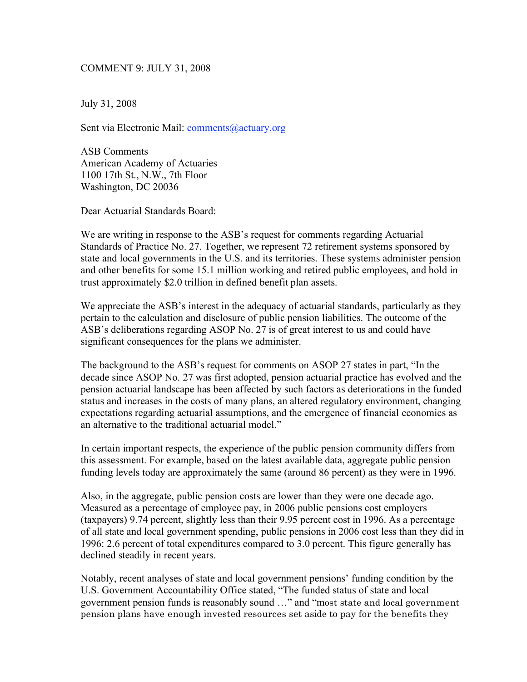## COMMENT 9: JULY 31, 2008

July 31, 2008

Sent via Electronic Mail: *comments@actuary.org* 

ASB Comments American Academy of Actuaries 1100 17th St., N.W., 7th Floor Washington, DC 20036

Dear Actuarial Standards Board:

We are writing in response to the ASB's request for comments regarding Actuarial Standards of Practice No. 27. Together, we represent 72 retirement systems sponsored by state and local governments in the U.S. and its territories. These systems administer pension and other benefits for some 15.1 million working and retired public employees, and hold in trust approximately \$2.0 trillion in defined benefit plan assets.

We appreciate the ASB's interest in the adequacy of actuarial standards, particularly as they pertain to the calculation and disclosure of public pension liabilities. The outcome of the ASB's deliberations regarding ASOP No. 27 is of great interest to us and could have significant consequences for the plans we administer.

The background to the ASB's request for comments on ASOP 27 states in part, "In the decade since ASOP No. 27 was first adopted, pension actuarial practice has evolved and the pension actuarial landscape has been affected by such factors as deteriorations in the funded status and increases in the costs of many plans, an altered regulatory environment, changing expectations regarding actuarial assumptions, and the emergence of financial economics as an alternative to the traditional actuarial model."

In certain important respects, the experience of the public pension community differs from this assessment. For example, based on the latest available data, aggregate public pension funding levels today are approximately the same (around 86 percent) as they were in 1996.

Also, in the aggregate, public pension costs are lower than they were one decade ago. Measured as a percentage of employee pay, in 2006 public pensions cost employers (taxpayers) 9.74 percent, slightly less than their 9.95 percent cost in 1996. As a percentage of all state and local government spending, public pensions in 2006 cost less than they did in 1996: 2.6 percent of total expenditures compared to 3.0 percent. This figure generally has declined steadily in recent years.

Notably, recent analyses of state and local government pensions' funding condition by the U.S. Government Accountability Office stated, "The funded status of state and local government pension funds is reasonably sound …" and "most state and local government pension plans have enough invested resources set aside to pay for the benefits they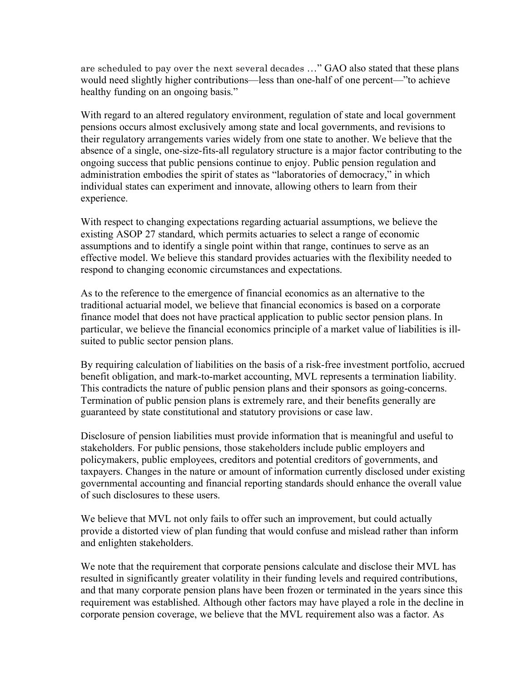are scheduled to pay over the next several decades …" GAO also stated that these plans would need slightly higher contributions—less than one-half of one percent—"to achieve healthy funding on an ongoing basis."

With regard to an altered regulatory environment, regulation of state and local government pensions occurs almost exclusively among state and local governments, and revisions to their regulatory arrangements varies widely from one state to another. We believe that the absence of a single, one-size-fits-all regulatory structure is a major factor contributing to the ongoing success that public pensions continue to enjoy. Public pension regulation and administration embodies the spirit of states as "laboratories of democracy," in which individual states can experiment and innovate, allowing others to learn from their experience.

With respect to changing expectations regarding actuarial assumptions, we believe the existing ASOP 27 standard, which permits actuaries to select a range of economic assumptions and to identify a single point within that range, continues to serve as an effective model. We believe this standard provides actuaries with the flexibility needed to respond to changing economic circumstances and expectations.

As to the reference to the emergence of financial economics as an alternative to the traditional actuarial model, we believe that financial economics is based on a corporate finance model that does not have practical application to public sector pension plans. In particular, we believe the financial economics principle of a market value of liabilities is illsuited to public sector pension plans.

By requiring calculation of liabilities on the basis of a risk-free investment portfolio, accrued benefit obligation, and mark-to-market accounting, MVL represents a termination liability. This contradicts the nature of public pension plans and their sponsors as going-concerns. Termination of public pension plans is extremely rare, and their benefits generally are guaranteed by state constitutional and statutory provisions or case law.

Disclosure of pension liabilities must provide information that is meaningful and useful to stakeholders. For public pensions, those stakeholders include public employers and policymakers, public employees, creditors and potential creditors of governments, and taxpayers. Changes in the nature or amount of information currently disclosed under existing governmental accounting and financial reporting standards should enhance the overall value of such disclosures to these users.

We believe that MVL not only fails to offer such an improvement, but could actually provide a distorted view of plan funding that would confuse and mislead rather than inform and enlighten stakeholders.

We note that the requirement that corporate pensions calculate and disclose their MVL has resulted in significantly greater volatility in their funding levels and required contributions, and that many corporate pension plans have been frozen or terminated in the years since this requirement was established. Although other factors may have played a role in the decline in corporate pension coverage, we believe that the MVL requirement also was a factor. As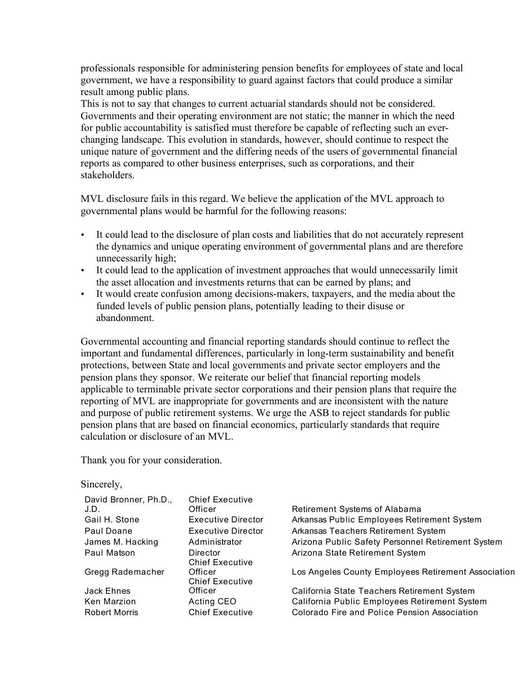professionals responsible for administering pension benefits for employees of state and local government, we have a responsibility to guard against factors that could produce a similar result among public plans.

This is not to say that changes to current actuarial standards should not be considered. Governments and their operating environment are not static; the manner in which the need for public accountability is satisfied must therefore be capable of reflecting such an everchanging landscape. This evolution in standards, however, should continue to respect the unique nature of government and the differing needs of the users of governmental financial reports as compared to other business enterprises, such as corporations, and their stakeholders.

MVL disclosure fails in this regard. We believe the application of the MVL approach to governmental plans would be harmful for the following reasons:

- It could lead to the disclosure of plan costs and liabilities that do not accurately represent the dynamics and unique operating environment of governmental plans and are therefore unnecessarily high;
- It could lead to the application of investment approaches that would unnecessarily limit the asset allocation and investments returns that can be earned by plans; and
- It would create confusion among decisions-makers, taxpayers, and the media about the funded levels of public pension plans, potentially leading to their disuse or abandonment.

Governmental accounting and financial reporting standards should continue to reflect the important and fundamental differences, particularly in long-term sustainability and benefit protections, between State and local governments and private sector employers and the pension plans they sponsor. We reiterate our belief that financial reporting models applicable to terminable private sector corporations and their pension plans that require the reporting of MVL are inappropriate for governments and are inconsistent with the nature and purpose of public retirement systems. We urge the ASB to reject standards for public pension plans that are based on financial economics, particularly standards that require calculation or disclosure of an MVL.

Thank you for your consideration.

Sincerely,

| David Bronner, Ph.D., | <b>Chief Executive</b>             |                                                     |
|-----------------------|------------------------------------|-----------------------------------------------------|
| J.D.                  | Officer                            | Retirement Systems of Alabama                       |
| Gail H. Stone         | Executive Director                 | Arkansas Public Employees Retirement System         |
| Paul Doane            | <b>Executive Director</b>          | Arkansas Teachers Retirement System                 |
| James M. Hacking      | Administrator                      | Arizona Public Safety Personnel Retirement System   |
| Paul Matson           | Director<br><b>Chief Executive</b> | Arizona State Retirement System                     |
| Gregg Rademacher      | Officer<br><b>Chief Executive</b>  | Los Angeles County Employees Retirement Association |
| Jack Ehnes            | Officer                            | California State Teachers Retirement System         |
| Ken Marzion           | Acting CEO                         | California Public Employees Retirement System       |
| <b>Robert Morris</b>  | <b>Chief Executive</b>             | Colorado Fire and Police Pension Association        |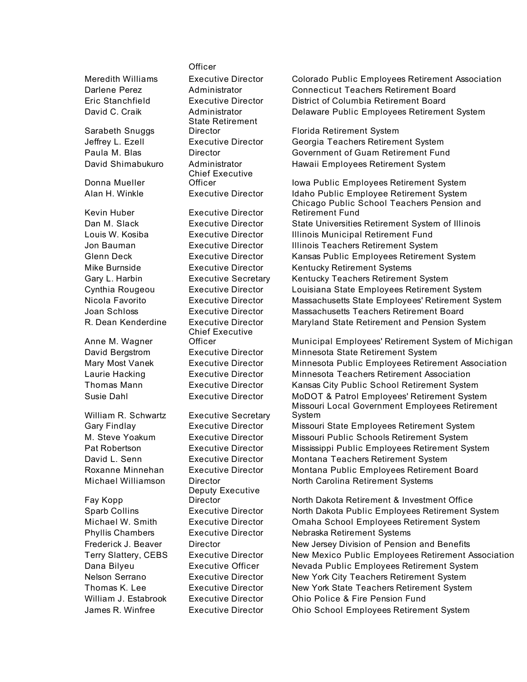Sarabeth Snuggs

Donna Mueller

Kevin Huber Executive Director

Anne M. Wagner

William R. Schwartz Executive Secretary

Fay Kopp

**Officer** 

State Retirement Chief Executive

Chief Executive<br>Officer

Deputy Executive

Meredith Williams Executive Director Colorado Public Employees Retirement Association Darlene Perez Administrator Connecticut Teachers Retirement Board Eric Stanchfield Executive Director District of Columbia Retirement Board David C. Craik **Administrator** Delaware Public Employees Retirement System

Director Florida Retirement System Jeffrey L. Ezell Executive Director Georgia Teachers Retirement System Paula M. Blas Director Government of Guam Retirement Fund David Shimabukuro Administrator Hawaii Employees Retirement System

Officer **Iowa Public Employees Retirement System** Alan H. Winkle **Executive Director** Idaho Public Employee Retirement System Chicago Public School Teachers Pension and Retirement Fund Dan M. Slack **Executive Director** State Universities Retirement System of Illinois Louis W. Kosiba Executive Director Illinois Municipal Retirement Fund Jon Bauman Executive Director Illinois Teachers Retirement System Glenn Deck Executive Director Kansas Public Employees Retirement System Mike Burnside Executive Director Kentucky Retirement Systems Gary L. Harbin **Executive Secretary** Kentucky Teachers Retirement System Cynthia Rougeou Executive Director Louisiana State Employees Retirement System Nicola Favorito Executive Director Massachusetts State Employees' Retirement System Joan Schloss Executive Director Massachusetts Teachers Retirement Board R. Dean Kenderdine Executive Director Maryland State Retirement and Pension System

Municipal Employees' Retirement System of Michigan David Bergstrom Executive Director Minnesota State Retirement System Mary Most Vanek Executive Director Minnesota Public Employees Retirement Association Laurie Hacking Executive Director Minnesota Teachers Retirement Association Thomas Mann Executive Director Kansas City Public School Retirement System Susie Dahl Executive Director MoDOT & Patrol Employees' Retirement System Missouri Local Government Employees Retirement System

Gary Findlay Executive Director Missouri State Employees Retirement System M. Steve Yoakum Executive Director Missouri Public Schools Retirement System Pat Robertson Executive Director Mississippi Public Employees Retirement System David L. Senn Executive Director Montana Teachers Retirement System Roxanne Minnehan Executive Director Montana Public Employees Retirement Board Michael Williamson Director North Carolina Retirement Systems

Director North Dakota Retirement & Investment Office Sparb Collins Executive Director North Dakota Public Employees Retirement System Michael W. Smith Executive Director Omaha School Employees Retirement System Phyllis Chambers Executive Director Nebraska Retirement Systems Frederick J. Beaver Director New Jersey Division of Pension and Benefits Terry Slattery, CEBS Executive Director New Mexico Public Employees Retirement Association Dana Bilyeu Executive Officer Nevada Public Employees Retirement System Nelson Serrano Executive Director New York City Teachers Retirement System Thomas K. Lee Executive Director New York State Teachers Retirement System William J. Estabrook Executive Director Ohio Police & Fire Pension Fund James R. Winfree Executive Director Ohio School Employees Retirement System